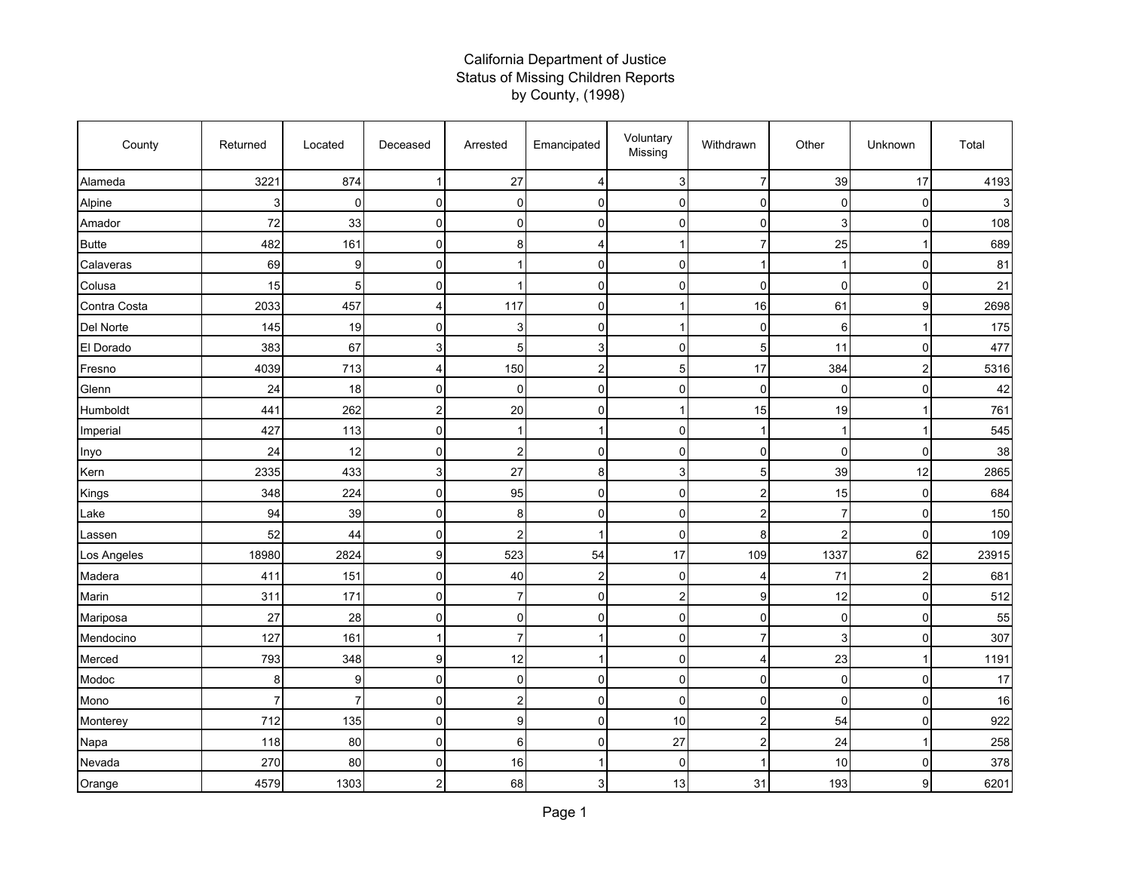## California Department of Justice Status of Missing Children Reports by County, (1998)

| County       | Returned | Located        | Deceased       | Arrested         | Emancipated    | Voluntary<br>Missing    | Withdrawn               | Other          | Unknown        | Total |
|--------------|----------|----------------|----------------|------------------|----------------|-------------------------|-------------------------|----------------|----------------|-------|
| Alameda      | 3221     | 874            |                | 27               | 4              | 3                       | 7                       | 39             | 17             | 4193  |
| Alpine       | 3        | 0              | $\overline{0}$ | $\overline{0}$   | <sub>0</sub>   | 0                       | 0                       | $\mathbf 0$    | $\mathbf 0$    | 3     |
| Amador       | 72       | 33             | $\Omega$       | $\overline{0}$   | $\Omega$       | $\Omega$                | $\Omega$                | 3              | $\mathbf 0$    | 108   |
| <b>Butte</b> | 482      | 161            | 0              | 8                |                | 1                       | 7                       | 25             |                | 689   |
| Calaveras    | 69       | 9              | $\overline{0}$ | $\mathbf{1}$     | 0              | $\mathbf 0$             |                         | 1              | $\mathbf 0$    | 81    |
| Colusa       | 15       | 5              | 0              |                  | $\Omega$       | 0                       | $\Omega$                | $\Omega$       | $\Omega$       | 21    |
| Contra Costa | 2033     | 457            | 4              | 117              | $\Omega$       | 1                       | 16                      | 61             | 9              | 2698  |
| Del Norte    | 145      | 19             | $\overline{0}$ | $\mathsf 3$      | 0              | 1                       | 0                       | 6              |                | 175   |
| El Dorado    | 383      | 67             | 3              | 5 <sub>5</sub>   | 3              | $\mathbf 0$             | 5                       | 11             | $\mathbf 0$    | 477   |
| Fresno       | 4039     | 713            | 4              | 150              | $\overline{2}$ | 5 <sup>1</sup>          | 17                      | 384            | $\overline{2}$ | 5316  |
| Glenn        | 24       | 18             | $\mathbf 0$    | $\mathsf 0$      | 0              | $\Omega$                | 0                       | 0              | $\mathbf 0$    | 42    |
| Humboldt     | 441      | 262            | 2              | $20\,$           | $\Omega$       | -1                      | 15                      | 19             |                | 761   |
| Imperial     | 427      | 113            | $\mathbf 0$    | $\mathbf{1}$     | 1              | $\overline{0}$          |                         | -1             |                | 545   |
| Inyo         | 24       | 12             | 0              | $\overline{c}$   | $\Omega$       | 0                       | $\Omega$                | $\Omega$       | $\Omega$       | 38    |
| Kern         | 2335     | 433            | 3              | 27               | 8              | 3                       | 5                       | 39             | 12             | 2865  |
| Kings        | 348      | 224            | $\mathbf 0$    | 95               | $\Omega$       | 0                       | $\overline{2}$          | 15             | $\mathbf 0$    | 684   |
| Lake         | 94       | 39             | 0              | 8                | 0              | 0                       | $\overline{c}$          | $\overline{7}$ | $\mathbf 0$    | 150   |
| Lassen       | 52       | 44             | $\overline{0}$ | $\overline{c}$   | 1              | 0                       | 8                       | $\overline{c}$ | $\mathbf 0$    | 109   |
| Los Angeles  | 18980    | 2824           | 9              | 523              | 54             | 17                      | 109                     | 1337           | 62             | 23915 |
| Madera       | 411      | 151            | 0              | 40               | 2              | 0                       | 4                       | 71             | $\overline{2}$ | 681   |
| Marin        | 311      | 171            | $\overline{0}$ | $\overline{7}$   | <sub>0</sub>   | $\overline{\mathbf{c}}$ | 9                       | 12             | $\mathbf 0$    | 512   |
| Mariposa     | 27       | 28             | $\Omega$       | $\Omega$         | $\Omega$       | $\Omega$                | $\Omega$                | $\Omega$       | $\Omega$       | 55    |
| Mendocino    | 127      | 161            |                | $\overline{7}$   | ſ              | 0                       | 7                       | 3              | $\mathbf 0$    | 307   |
| Merced       | 793      | 348            | 9              | 12               |                | 0                       | 4                       | 23             |                | 1191  |
| Modoc        | 8        | 9              | $\overline{0}$ | $\overline{0}$   | 0              | 0                       | 0                       | 0              | $\mathbf 0$    | 17    |
| Mono         | 7        | $\overline{7}$ | $\Omega$       | $\boldsymbol{2}$ | $\Omega$       | $\overline{0}$          | $\Omega$                | 0              | 0              | 16    |
| Monterey     | 712      | 135            | $\Omega$       | 9                | 0              | 10                      | $\overline{c}$          | 54             | $\mathbf 0$    | 922   |
| Napa         | 118      | 80             | 0              | $6 \overline{6}$ | 0              | 27                      | $\overline{\mathbf{c}}$ | 24             |                | 258   |
| Nevada       | 270      | 80             | 0              | 16               | 1              | 0                       |                         | 10             | $\mathbf 0$    | 378   |
| Orange       | 4579     | 1303           | 2              | 68               | 3              | 13                      | 31                      | 193            | 9              | 6201  |